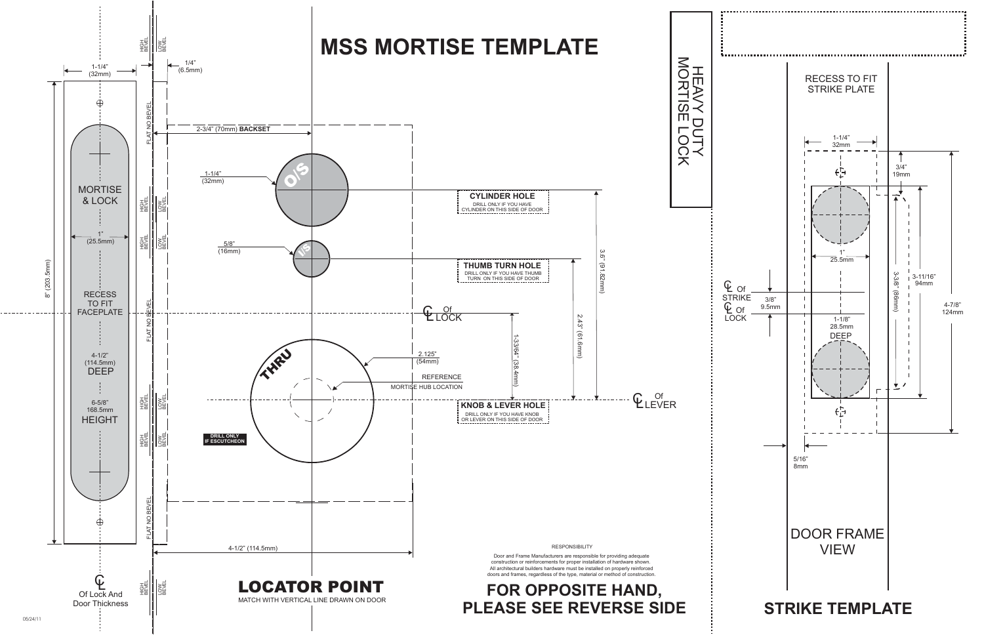